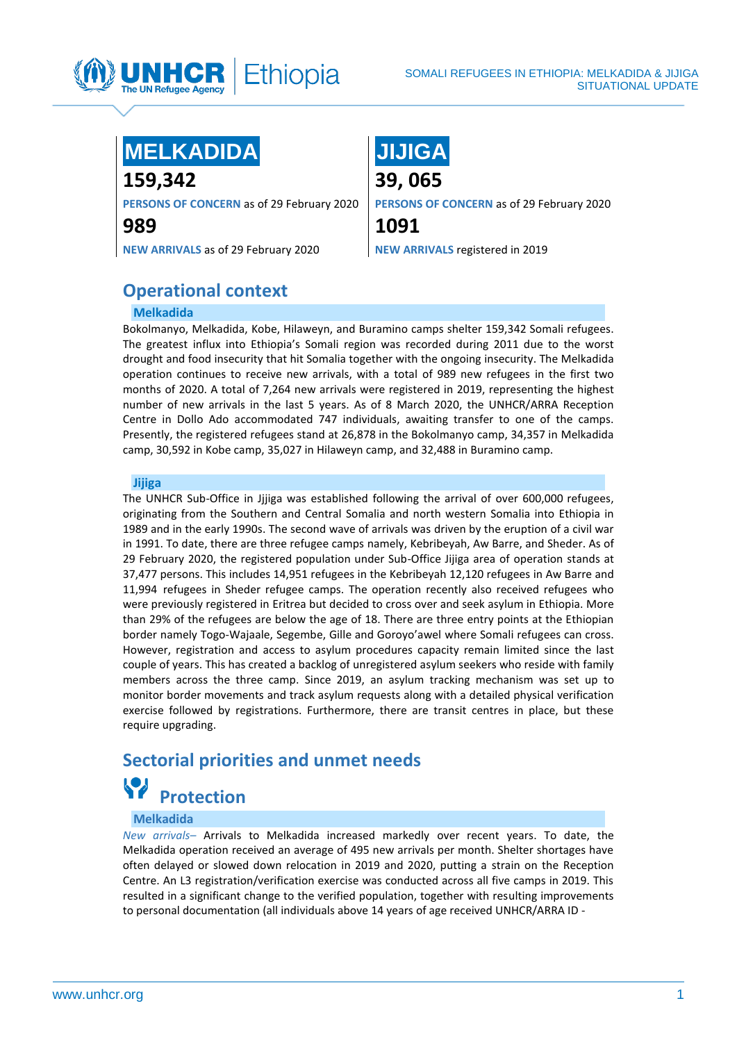

### **MELKADIDA**

**159,342**

**PERSONS OF CONCERN** as of 29 February 2020

**989**

**NEW ARRIVALS** as of 29 February 2020

## **JIJIGA**

**39, 065**

**PERSONS OF CONCERN** as of 29 February 2020

**1091**

**NEW ARRIVALS** registered in 2019

### **Operational context**

### **Melkadida**

Bokolmanyo, Melkadida, Kobe, Hilaweyn, and Buramino camps shelter 159,342 Somali refugees. The greatest influx into Ethiopia's Somali region was recorded during 2011 due to the worst drought and food insecurity that hit Somalia together with the ongoing insecurity. The Melkadida operation continues to receive new arrivals, with a total of 989 new refugees in the first two months of 2020. A total of 7,264 new arrivals were registered in 2019, representing the highest number of new arrivals in the last 5 years. As of 8 March 2020, the UNHCR/ARRA Reception Centre in Dollo Ado accommodated 747 individuals, awaiting transfer to one of the camps. Presently, the registered refugees stand at 26,878 in the Bokolmanyo camp, 34,357 in Melkadida camp, 30,592 in Kobe camp, 35,027 in Hilaweyn camp, and 32,488 in Buramino camp.

### **Jijiga**

The UNHCR Sub-Office in Jjjiga was established following the arrival of over 600,000 refugees, originating from the Southern and Central Somalia and north western Somalia into Ethiopia in 1989 and in the early 1990s. The second wave of arrivals was driven by the eruption of a civil war in 1991. To date, there are three refugee camps namely, Kebribeyah, Aw Barre, and Sheder. As of 29 February 2020, the registered population under Sub-Office Jijiga area of operation stands at 37,477 persons. This includes 14,951 refugees in the Kebribeyah 12,120 refugees in Aw Barre and 11,994 refugees in Sheder refugee camps. The operation recently also received refugees who were previously registered in Eritrea but decided to cross over and seek asylum in Ethiopia. More than 29% of the refugees are below the age of 18. There are three entry points at the Ethiopian border namely Togo-Wajaale, Segembe, Gille and Goroyo'awel where Somali refugees can cross. However, registration and access to asylum procedures capacity remain limited since the last couple of years. This has created a backlog of unregistered asylum seekers who reside with family members across the three camp. Since 2019, an asylum tracking mechanism was set up to monitor border movements and track asylum requests along with a detailed physical verification exercise followed by registrations. Furthermore, there are transit centres in place, but these require upgrading.

### **Sectorial priorities and unmet needs Protection**

### **Melkadida**

*New arrivals–* Arrivals to Melkadida increased markedly over recent years. To date, the Melkadida operation received an average of 495 new arrivals per month. Shelter shortages have often delayed or slowed down relocation in 2019 and 2020, putting a strain on the Reception Centre. An L3 registration/verification exercise was conducted across all five camps in 2019. This resulted in a significant change to the verified population, together with resulting improvements to personal documentation (all individuals above 14 years of age received UNHCR/ARRA ID -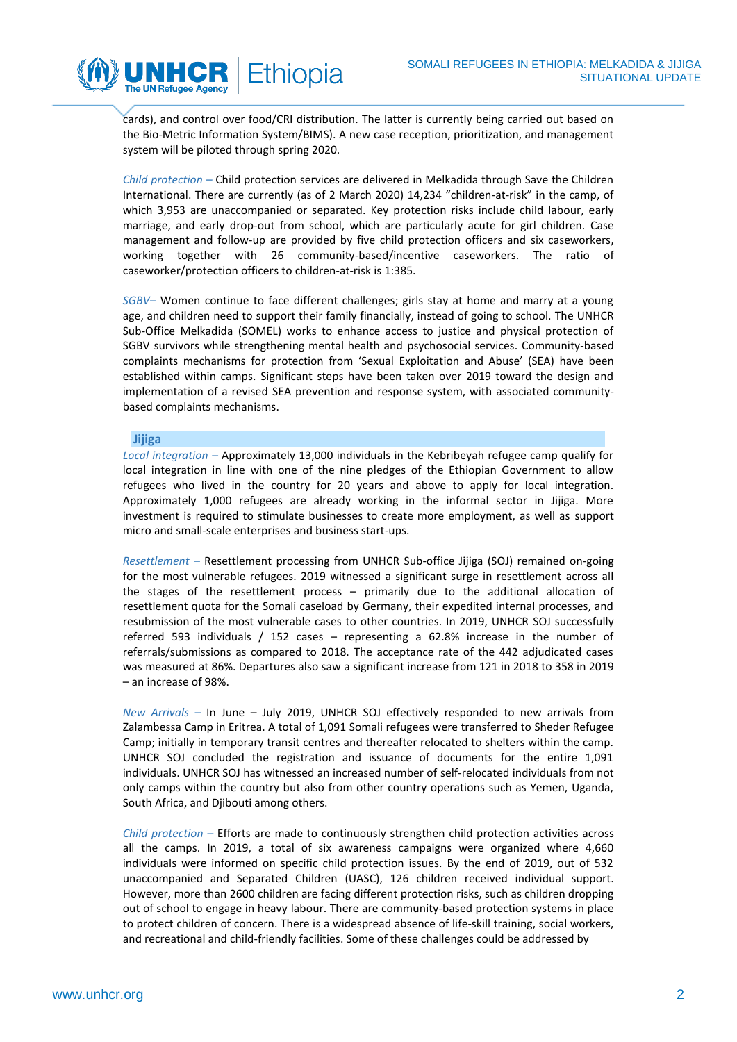

cards), and control over food/CRI distribution. The latter is currently being carried out based on the Bio-Metric Information System/BIMS). A new case reception, prioritization, and management system will be piloted through spring 2020.

*Child protection –* Child protection services are delivered in Melkadida through Save the Children International. There are currently (as of 2 March 2020) 14,234 "children-at-risk" in the camp, of which 3,953 are unaccompanied or separated. Key protection risks include child labour, early marriage, and early drop-out from school, which are particularly acute for girl children. Case management and follow-up are provided by five child protection officers and six caseworkers, working together with 26 community-based/incentive caseworkers. The ratio of caseworker/protection officers to children-at-risk is 1:385.

*SGBV–* Women continue to face different challenges; girls stay at home and marry at a young age, and children need to support their family financially, instead of going to school. The UNHCR Sub-Office Melkadida (SOMEL) works to enhance access to justice and physical protection of SGBV survivors while strengthening mental health and psychosocial services. Community-based complaints mechanisms for protection from 'Sexual Exploitation and Abuse' (SEA) have been established within camps. Significant steps have been taken over 2019 toward the design and implementation of a revised SEA prevention and response system, with associated communitybased complaints mechanisms.

### **Jijiga**

*Local integration –* Approximately 13,000 individuals in the Kebribeyah refugee camp qualify for local integration in line with one of the nine pledges of the Ethiopian Government to allow refugees who lived in the country for 20 years and above to apply for local integration. Approximately 1,000 refugees are already working in the informal sector in Jijiga. More investment is required to stimulate businesses to create more employment, as well as support micro and small-scale enterprises and business start-ups.

*Resettlement –* Resettlement processing from UNHCR Sub-office Jijiga (SOJ) remained on-going for the most vulnerable refugees. 2019 witnessed a significant surge in resettlement across all the stages of the resettlement process – primarily due to the additional allocation of resettlement quota for the Somali caseload by Germany, their expedited internal processes, and resubmission of the most vulnerable cases to other countries. In 2019, UNHCR SOJ successfully referred 593 individuals / 152 cases – representing a 62.8% increase in the number of referrals/submissions as compared to 2018. The acceptance rate of the 442 adjudicated cases was measured at 86%. Departures also saw a significant increase from 121 in 2018 to 358 in 2019 – an increase of 98%.

*New Arrivals –* In June – July 2019, UNHCR SOJ effectively responded to new arrivals from Zalambessa Camp in Eritrea. A total of 1,091 Somali refugees were transferred to Sheder Refugee Camp; initially in temporary transit centres and thereafter relocated to shelters within the camp. UNHCR SOJ concluded the registration and issuance of documents for the entire 1,091 individuals. UNHCR SOJ has witnessed an increased number of self-relocated individuals from not only camps within the country but also from other country operations such as Yemen, Uganda, South Africa, and Djibouti among others.

*Child protection –* Efforts are made to continuously strengthen child protection activities across all the camps. In 2019, a total of six awareness campaigns were organized where 4,660 individuals were informed on specific child protection issues. By the end of 2019, out of 532 unaccompanied and Separated Children (UASC), 126 children received individual support. However, more than 2600 children are facing different protection risks, such as children dropping out of school to engage in heavy labour. There are community-based protection systems in place to protect children of concern. There is a widespread absence of life-skill training, social workers, and recreational and child-friendly facilities. Some of these challenges could be addressed by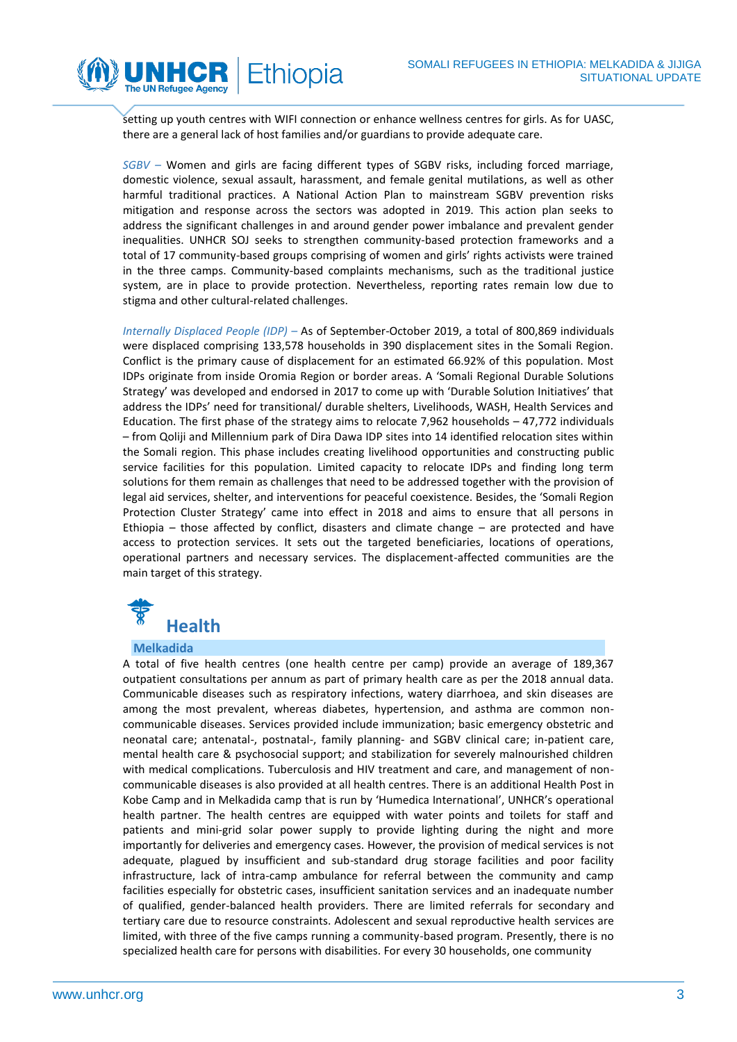

setting up youth centres with WIFI connection or enhance wellness centres for girls. As for UASC, there are a general lack of host families and/or guardians to provide adequate care.

*SGBV –* Women and girls are facing different types of SGBV risks, including forced marriage, domestic violence, sexual assault, harassment, and female genital mutilations, as well as other harmful traditional practices. A National Action Plan to mainstream SGBV prevention risks mitigation and response across the sectors was adopted in 2019. This action plan seeks to address the significant challenges in and around gender power imbalance and prevalent gender inequalities. UNHCR SOJ seeks to strengthen community-based protection frameworks and a total of 17 community-based groups comprising of women and girls' rights activists were trained in the three camps. Community-based complaints mechanisms, such as the traditional justice system, are in place to provide protection. Nevertheless, reporting rates remain low due to stigma and other cultural-related challenges.

*Internally Displaced People (IDP) –* As of September-October 2019, a total of 800,869 individuals were displaced comprising 133,578 households in 390 displacement sites in the Somali Region. Conflict is the primary cause of displacement for an estimated 66.92% of this population. Most IDPs originate from inside Oromia Region or border areas. A 'Somali Regional Durable Solutions Strategy' was developed and endorsed in 2017 to come up with 'Durable Solution Initiatives' that address the IDPs' need for transitional/ durable shelters, Livelihoods, WASH, Health Services and Education. The first phase of the strategy aims to relocate 7,962 households – 47,772 individuals – from Qoliji and Millennium park of Dira Dawa IDP sites into 14 identified relocation sites within the Somali region. This phase includes creating livelihood opportunities and constructing public service facilities for this population. Limited capacity to relocate IDPs and finding long term solutions for them remain as challenges that need to be addressed together with the provision of legal aid services, shelter, and interventions for peaceful coexistence. Besides, the 'Somali Region Protection Cluster Strategy' came into effect in 2018 and aims to ensure that all persons in Ethiopia – those affected by conflict, disasters and climate change – are protected and have access to protection services. It sets out the targeted beneficiaries, locations of operations, operational partners and necessary services. The displacement-affected communities are the main target of this strategy.



### **Melkadida**

A total of five health centres (one health centre per camp) provide an average of 189,367 outpatient consultations per annum as part of primary health care as per the 2018 annual data. Communicable diseases such as respiratory infections, watery diarrhoea, and skin diseases are among the most prevalent, whereas diabetes, hypertension, and asthma are common noncommunicable diseases. Services provided include immunization; basic emergency obstetric and neonatal care; antenatal-, postnatal-, family planning- and SGBV clinical care; in-patient care, mental health care & psychosocial support; and stabilization for severely malnourished children with medical complications. Tuberculosis and HIV treatment and care, and management of noncommunicable diseases is also provided at all health centres. There is an additional Health Post in Kobe Camp and in Melkadida camp that is run by 'Humedica International', UNHCR's operational health partner. The health centres are equipped with water points and toilets for staff and patients and mini-grid solar power supply to provide lighting during the night and more importantly for deliveries and emergency cases. However, the provision of medical services is not adequate, plagued by insufficient and sub-standard drug storage facilities and poor facility infrastructure, lack of intra-camp ambulance for referral between the community and camp facilities especially for obstetric cases, insufficient sanitation services and an inadequate number of qualified, gender-balanced health providers. There are limited referrals for secondary and tertiary care due to resource constraints. Adolescent and sexual reproductive health services are limited, with three of the five camps running a community-based program. Presently, there is no specialized health care for persons with disabilities. For every 30 households, one community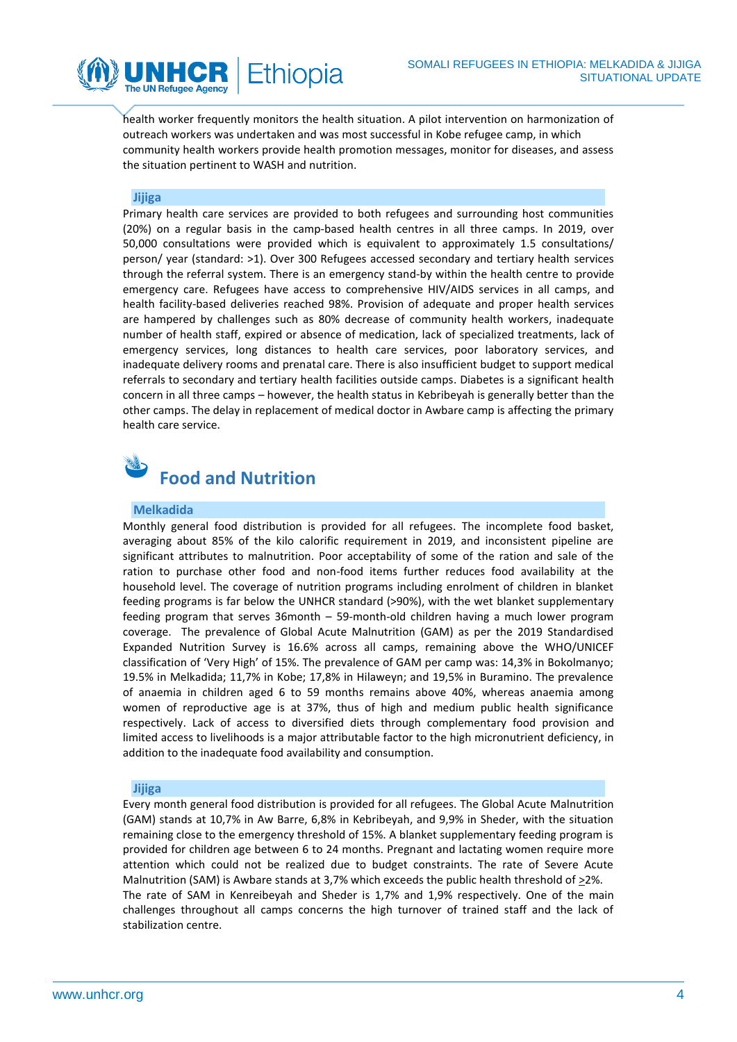

health worker frequently monitors the health situation. A pilot intervention on harmonization of outreach workers was undertaken and was most successful in Kobe refugee camp, in which community health workers provide health promotion messages, monitor for diseases, and assess the situation pertinent to WASH and nutrition.

### **Jijiga**

Primary health care services are provided to both refugees and surrounding host communities (20%) on a regular basis in the camp-based health centres in all three camps. In 2019, over 50,000 consultations were provided which is equivalent to approximately 1.5 consultations/ person/ year (standard: >1). Over 300 Refugees accessed secondary and tertiary health services through the referral system. There is an emergency stand-by within the health centre to provide emergency care. Refugees have access to comprehensive HIV/AIDS services in all camps, and health facility-based deliveries reached 98%. Provision of adequate and proper health services are hampered by challenges such as 80% decrease of community health workers, inadequate number of health staff, expired or absence of medication, lack of specialized treatments, lack of emergency services, long distances to health care services, poor laboratory services, and inadequate delivery rooms and prenatal care. There is also insufficient budget to support medical referrals to secondary and tertiary health facilities outside camps. Diabetes is a significant health concern in all three camps – however, the health status in Kebribeyah is generally better than the other camps. The delay in replacement of medical doctor in Awbare camp is affecting the primary health care service.



### **Melkadida**

Monthly general food distribution is provided for all refugees. The incomplete food basket, averaging about 85% of the kilo calorific requirement in 2019, and inconsistent pipeline are significant attributes to malnutrition. Poor acceptability of some of the ration and sale of the ration to purchase other food and non-food items further reduces food availability at the household level. The coverage of nutrition programs including enrolment of children in blanket feeding programs is far below the UNHCR standard (>90%), with the wet blanket supplementary feeding program that serves 36month – 59-month-old children having a much lower program coverage. The prevalence of Global Acute Malnutrition (GAM) as per the 2019 Standardised Expanded Nutrition Survey is 16.6% across all camps, remaining above the WHO/UNICEF classification of 'Very High' of 15%. The prevalence of GAM per camp was: 14,3% in Bokolmanyo; 19.5% in Melkadida; 11,7% in Kobe; 17,8% in Hilaweyn; and 19,5% in Buramino. The prevalence of anaemia in children aged 6 to 59 months remains above 40%, whereas anaemia among women of reproductive age is at 37%, thus of high and medium public health significance respectively. Lack of access to diversified diets through complementary food provision and limited access to livelihoods is a major attributable factor to the high micronutrient deficiency, in addition to the inadequate food availability and consumption.

### **Jijiga**

Every month general food distribution is provided for all refugees. The Global Acute Malnutrition (GAM) stands at 10,7% in Aw Barre, 6,8% in Kebribeyah, and 9,9% in Sheder, with the situation remaining close to the emergency threshold of 15%. A blanket supplementary feeding program is provided for children age between 6 to 24 months. Pregnant and lactating women require more attention which could not be realized due to budget constraints. The rate of Severe Acute Malnutrition (SAM) is Awbare stands at 3,7% which exceeds the public health threshold of  $\geq$ 2%. The rate of SAM in Kenreibeyah and Sheder is 1,7% and 1,9% respectively. One of the main challenges throughout all camps concerns the high turnover of trained staff and the lack of stabilization centre.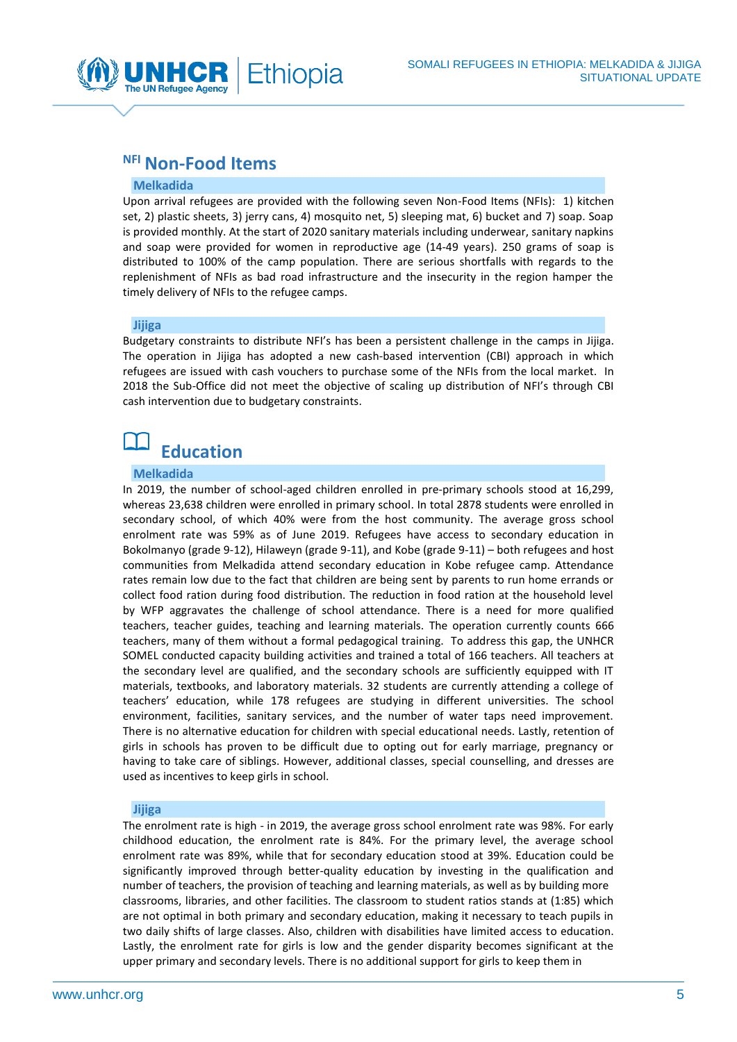

### **NFI Non-Food Items**

### **Melkadida**

Upon arrival refugees are provided with the following seven Non-Food Items (NFIs): 1) kitchen set, 2) plastic sheets, 3) jerry cans, 4) mosquito net, 5) sleeping mat, 6) bucket and 7) soap. Soap is provided monthly. At the start of 2020 sanitary materials including underwear, sanitary napkins and soap were provided for women in reproductive age (14-49 years). 250 grams of soap is distributed to 100% of the camp population. There are serious shortfalls with regards to the replenishment of NFIs as bad road infrastructure and the insecurity in the region hamper the timely delivery of NFIs to the refugee camps.

### **Jijiga**

Budgetary constraints to distribute NFI's has been a persistent challenge in the camps in Jijiga. The operation in Jijiga has adopted a new cash-based intervention (CBI) approach in which refugees are issued with cash vouchers to purchase some of the NFIs from the local market. In 2018 the Sub-Office did not meet the objective of scaling up distribution of NFI's through CBI cash intervention due to budgetary constraints.

## **Education**

### **Melkadida**

In 2019, the number of school-aged children enrolled in pre-primary schools stood at 16,299, whereas 23,638 children were enrolled in primary school. In total 2878 students were enrolled in secondary school, of which 40% were from the host community. The average gross school enrolment rate was 59% as of June 2019. Refugees have access to secondary education in Bokolmanyo (grade 9-12), Hilaweyn (grade 9-11), and Kobe (grade 9-11) – both refugees and host communities from Melkadida attend secondary education in Kobe refugee camp. Attendance rates remain low due to the fact that children are being sent by parents to run home errands or collect food ration during food distribution. The reduction in food ration at the household level by WFP aggravates the challenge of school attendance. There is a need for more qualified teachers, teacher guides, teaching and learning materials. The operation currently counts 666 teachers, many of them without a formal pedagogical training. To address this gap, the UNHCR SOMEL conducted capacity building activities and trained a total of 166 teachers. All teachers at the secondary level are qualified, and the secondary schools are sufficiently equipped with IT materials, textbooks, and laboratory materials. 32 students are currently attending a college of teachers' education, while 178 refugees are studying in different universities. The school environment, facilities, sanitary services, and the number of water taps need improvement. There is no alternative education for children with special educational needs. Lastly, retention of girls in schools has proven to be difficult due to opting out for early marriage, pregnancy or having to take care of siblings. However, additional classes, special counselling, and dresses are used as incentives to keep girls in school.

#### **Jijiga**

The enrolment rate is high - in 2019, the average gross school enrolment rate was 98%. For early childhood education, the enrolment rate is 84%. For the primary level, the average school enrolment rate was 89%, while that for secondary education stood at 39%. Education could be significantly improved through better-quality education by investing in the qualification and number of teachers, the provision of teaching and learning materials, as well as by building more classrooms, libraries, and other facilities. The classroom to student ratios stands at (1:85) which are not optimal in both primary and secondary education, making it necessary to teach pupils in two daily shifts of large classes. Also, children with disabilities have limited access to education. Lastly, the enrolment rate for girls is low and the gender disparity becomes significant at the upper primary and secondary levels. There is no additional support for girls to keep them in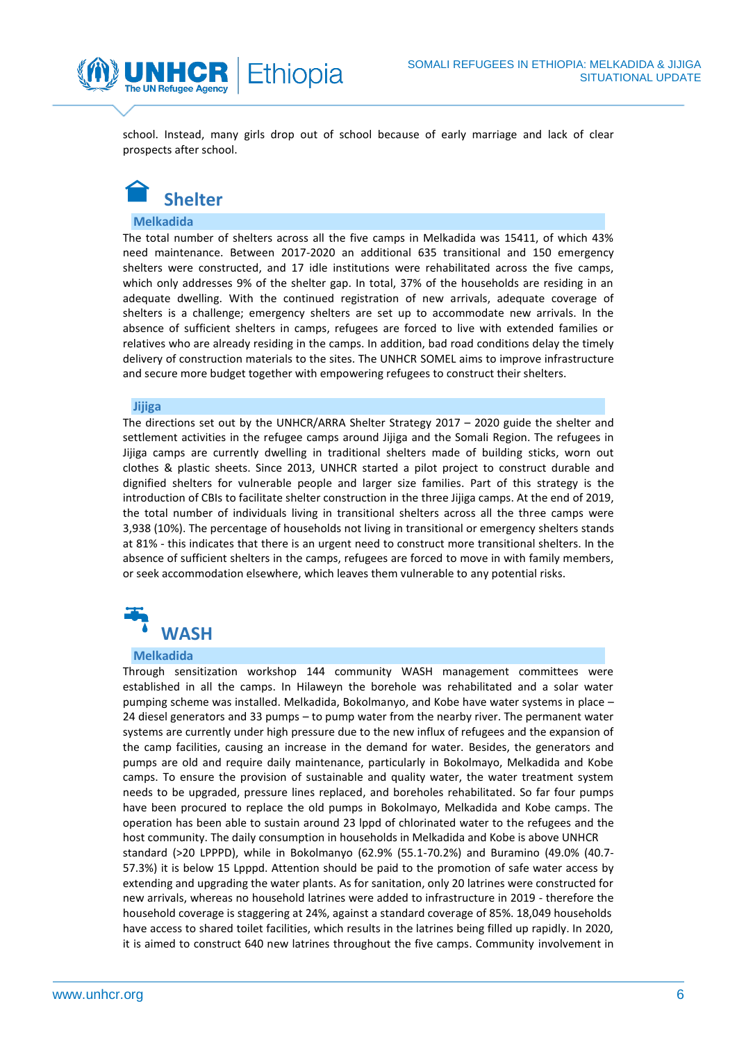school. Instead, many girls drop out of school because of early marriage and lack of clear prospects after school.

thiopia



The UN Refugee Agency

### **Melkadida**

The total number of shelters across all the five camps in Melkadida was 15411, of which 43% need maintenance. Between 2017-2020 an additional 635 transitional and 150 emergency shelters were constructed, and 17 idle institutions were rehabilitated across the five camps, which only addresses 9% of the shelter gap. In total, 37% of the households are residing in an adequate dwelling. With the continued registration of new arrivals, adequate coverage of shelters is a challenge; emergency shelters are set up to accommodate new arrivals. In the absence of sufficient shelters in camps, refugees are forced to live with extended families or relatives who are already residing in the camps. In addition, bad road conditions delay the timely delivery of construction materials to the sites. The UNHCR SOMEL aims to improve infrastructure and secure more budget together with empowering refugees to construct their shelters.

### **Jijiga**

The directions set out by the UNHCR/ARRA Shelter Strategy 2017 – 2020 guide the shelter and settlement activities in the refugee camps around Jijiga and the Somali Region. The refugees in Jijiga camps are currently dwelling in traditional shelters made of building sticks, worn out clothes & plastic sheets. Since 2013, UNHCR started a pilot project to construct durable and dignified shelters for vulnerable people and larger size families. Part of this strategy is the introduction of CBIs to facilitate shelter construction in the three Jijiga camps. At the end of 2019, the total number of individuals living in transitional shelters across all the three camps were 3,938 (10%). The percentage of households not living in transitional or emergency shelters stands at 81% - this indicates that there is an urgent need to construct more transitional shelters. In the absence of sufficient shelters in the camps, refugees are forced to move in with family members, or seek accommodation elsewhere, which leaves them vulnerable to any potential risks.



#### **Melkadida**

Through sensitization workshop 144 community WASH management committees were established in all the camps. In Hilaweyn the borehole was rehabilitated and a solar water pumping scheme was installed. Melkadida, Bokolmanyo, and Kobe have water systems in place – 24 diesel generators and 33 pumps – to pump water from the nearby river. The permanent water systems are currently under high pressure due to the new influx of refugees and the expansion of the camp facilities, causing an increase in the demand for water. Besides, the generators and pumps are old and require daily maintenance, particularly in Bokolmayo, Melkadida and Kobe camps. To ensure the provision of sustainable and quality water, the water treatment system needs to be upgraded, pressure lines replaced, and boreholes rehabilitated. So far four pumps have been procured to replace the old pumps in Bokolmayo, Melkadida and Kobe camps. The operation has been able to sustain around 23 lppd of chlorinated water to the refugees and the host community. The daily consumption in households in Melkadida and Kobe is above UNHCR standard (>20 LPPPD), while in Bokolmanyo (62.9% (55.1-70.2%) and Buramino (49.0% (40.7- 57.3%) it is below 15 Lpppd. Attention should be paid to the promotion of safe water access by extending and upgrading the water plants. As for sanitation, only 20 latrines were constructed for new arrivals, whereas no household latrines were added to infrastructure in 2019 - therefore the household coverage is staggering at 24%, against a standard coverage of 85%. 18,049 households have access to shared toilet facilities, which results in the latrines being filled up rapidly. In 2020, it is aimed to construct 640 new latrines throughout the five camps. Community involvement in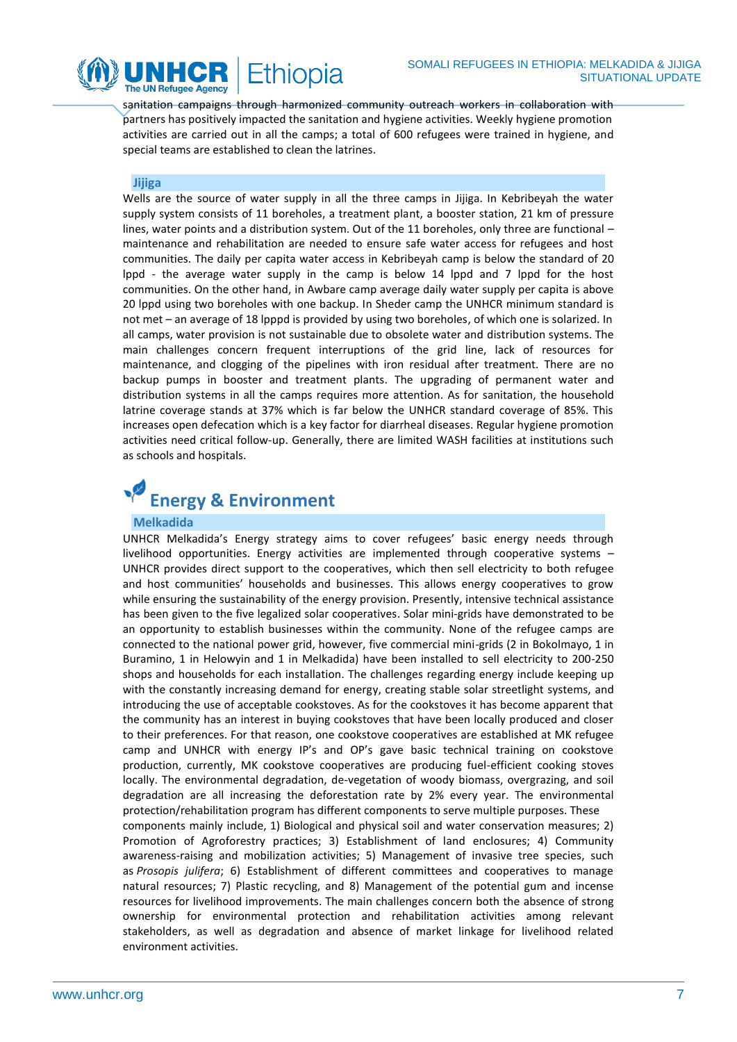

sanitation campaigns through harmonized community outreach workers in collaboration with partners has positively impacted the sanitation and hygiene activities. Weekly hygiene promotion activities are carried out in all the camps; a total of 600 refugees were trained in hygiene, and special teams are established to clean the latrines.

### **Jijiga**

Wells are the source of water supply in all the three camps in Jijiga. In Kebribeyah the water supply system consists of 11 boreholes, a treatment plant, a booster station, 21 km of pressure lines, water points and a distribution system. Out of the 11 boreholes, only three are functional maintenance and rehabilitation are needed to ensure safe water access for refugees and host communities. The daily per capita water access in Kebribeyah camp is below the standard of 20 lppd - the average water supply in the camp is below 14 lppd and 7 lppd for the host communities. On the other hand, in Awbare camp average daily water supply per capita is above 20 lppd using two boreholes with one backup. In Sheder camp the UNHCR minimum standard is not met – an average of 18 lpppd is provided by using two boreholes, of which one is solarized. In all camps, water provision is not sustainable due to obsolete water and distribution systems. The main challenges concern frequent interruptions of the grid line, lack of resources for maintenance, and clogging of the pipelines with iron residual after treatment. There are no backup pumps in booster and treatment plants. The upgrading of permanent water and distribution systems in all the camps requires more attention. As for sanitation, the household latrine coverage stands at 37% which is far below the UNHCR standard coverage of 85%. This increases open defecation which is a key factor for diarrheal diseases. Regular hygiene promotion activities need critical follow-up. Generally, there are limited WASH facilities at institutions such as schools and hospitals.

# **Energy & Environment**

### **Melkadida**

UNHCR Melkadida's Energy strategy aims to cover refugees' basic energy needs through livelihood opportunities. Energy activities are implemented through cooperative systems – UNHCR provides direct support to the cooperatives, which then sell electricity to both refugee and host communities' households and businesses. This allows energy cooperatives to grow while ensuring the sustainability of the energy provision. Presently, intensive technical assistance has been given to the five legalized solar cooperatives. Solar mini-grids have demonstrated to be an opportunity to establish businesses within the community. None of the refugee camps are connected to the national power grid, however, five commercial mini-grids (2 in Bokolmayo, 1 in Buramino, 1 in Helowyin and 1 in Melkadida) have been installed to sell electricity to 200-250 shops and households for each installation. The challenges regarding energy include keeping up with the constantly increasing demand for energy, creating stable solar streetlight systems, and introducing the use of acceptable cookstoves. As for the cookstoves it has become apparent that the community has an interest in buying cookstoves that have been locally produced and closer to their preferences. For that reason, one cookstove cooperatives are established at MK refugee camp and UNHCR with energy IP's and OP's gave basic technical training on cookstove production, currently, MK cookstove cooperatives are producing fuel-efficient cooking stoves locally. The environmental degradation, de-vegetation of woody biomass, overgrazing, and soil degradation are all increasing the deforestation rate by 2% every year. The environmental protection/rehabilitation program has different components to serve multiple purposes. These components mainly include, 1) Biological and physical soil and water conservation measures; 2) Promotion of Agroforestry practices; 3) Establishment of land enclosures; 4) Community awareness-raising and mobilization activities; 5) Management of invasive tree species, such as *Prosopis julifera*; 6) Establishment of different committees and cooperatives to manage natural resources; 7) Plastic recycling, and 8) Management of the potential gum and incense resources for livelihood improvements. The main challenges concern both the absence of strong ownership for environmental protection and rehabilitation activities among relevant stakeholders, as well as degradation and absence of market linkage for livelihood related environment activities.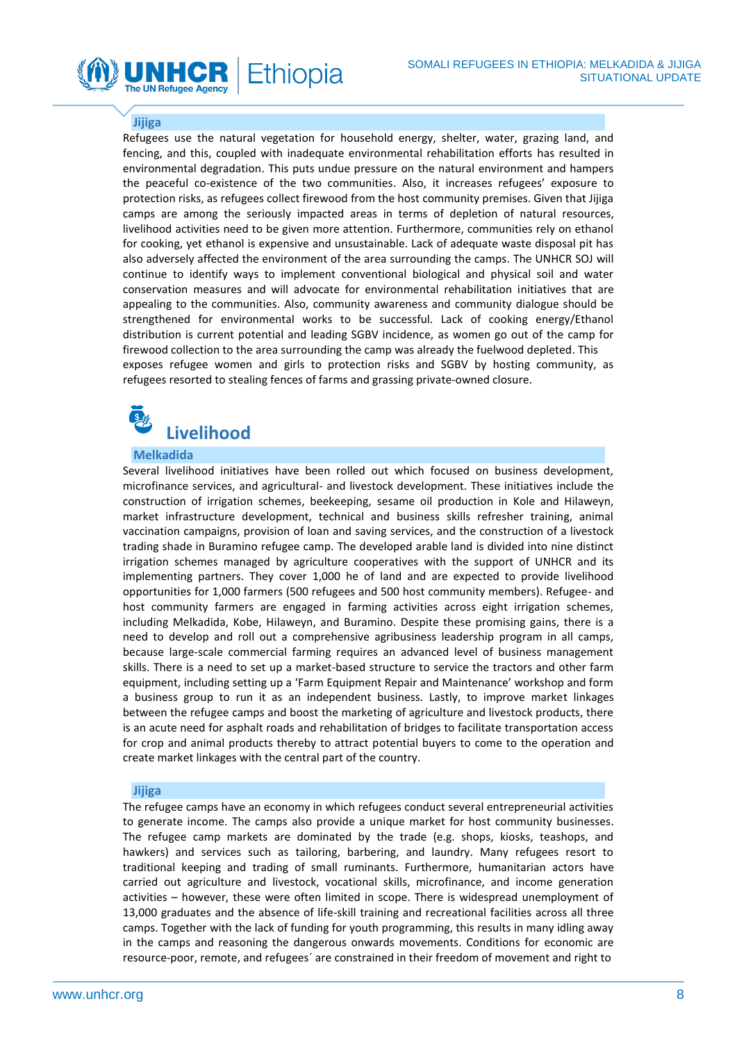### **Jijiga**

**The UN Refugee Agency** 

Refugees use the natural vegetation for household energy, shelter, water, grazing land, and fencing, and this, coupled with inadequate environmental rehabilitation efforts has resulted in environmental degradation. This puts undue pressure on the natural environment and hampers the peaceful co-existence of the two communities. Also, it increases refugees' exposure to protection risks, as refugees collect firewood from the host community premises. Given that Jijiga camps are among the seriously impacted areas in terms of depletion of natural resources, livelihood activities need to be given more attention. Furthermore, communities rely on ethanol for cooking, yet ethanol is expensive and unsustainable. Lack of adequate waste disposal pit has also adversely affected the environment of the area surrounding the camps. The UNHCR SOJ will continue to identify ways to implement conventional biological and physical soil and water conservation measures and will advocate for environmental rehabilitation initiatives that are appealing to the communities. Also, community awareness and community dialogue should be strengthened for environmental works to be successful. Lack of cooking energy/Ethanol distribution is current potential and leading SGBV incidence, as women go out of the camp for firewood collection to the area surrounding the camp was already the fuelwood depleted. This exposes refugee women and girls to protection risks and SGBV by hosting community, as refugees resorted to stealing fences of farms and grassing private-owned closure.

Ethiopia

# **Livelihood**

### **Melkadida**

Several livelihood initiatives have been rolled out which focused on business development, microfinance services, and agricultural- and livestock development. These initiatives include the construction of irrigation schemes, beekeeping, sesame oil production in Kole and Hilaweyn, market infrastructure development, technical and business skills refresher training, animal vaccination campaigns, provision of loan and saving services, and the construction of a livestock trading shade in Buramino refugee camp. The developed arable land is divided into nine distinct irrigation schemes managed by agriculture cooperatives with the support of UNHCR and its implementing partners. They cover 1,000 he of land and are expected to provide livelihood opportunities for 1,000 farmers (500 refugees and 500 host community members). Refugee- and host community farmers are engaged in farming activities across eight irrigation schemes, including Melkadida, Kobe, Hilaweyn, and Buramino. Despite these promising gains, there is a need to develop and roll out a comprehensive agribusiness leadership program in all camps, because large-scale commercial farming requires an advanced level of business management skills. There is a need to set up a market-based structure to service the tractors and other farm equipment, including setting up a 'Farm Equipment Repair and Maintenance' workshop and form a business group to run it as an independent business. Lastly, to improve market linkages between the refugee camps and boost the marketing of agriculture and livestock products, there is an acute need for asphalt roads and rehabilitation of bridges to facilitate transportation access for crop and animal products thereby to attract potential buyers to come to the operation and create market linkages with the central part of the country.

#### **Jijiga**

The refugee camps have an economy in which refugees conduct several entrepreneurial activities to generate income. The camps also provide a unique market for host community businesses. The refugee camp markets are dominated by the trade (e.g. shops, kiosks, teashops, and hawkers) and services such as tailoring, barbering, and laundry. Many refugees resort to traditional keeping and trading of small ruminants. Furthermore, humanitarian actors have carried out agriculture and livestock, vocational skills, microfinance, and income generation activities – however, these were often limited in scope. There is widespread unemployment of 13,000 graduates and the absence of life-skill training and recreational facilities across all three camps. Together with the lack of funding for youth programming, this results in many idling away in the camps and reasoning the dangerous onwards movements. Conditions for economic are resource-poor, remote, and refugees´ are constrained in their freedom of movement and right to